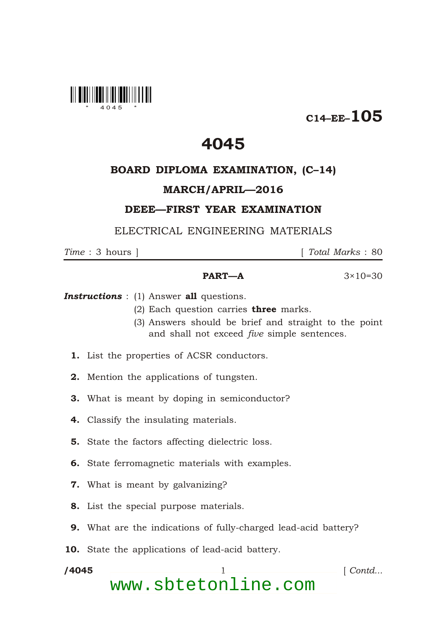

 $C14$ –EE–105

## 4045

#### BOARD DIPLOMA EXAMINATION, (C–14)

#### MARCH/APRIL—2016

### DEEE—FIRST YEAR EXAMINATION

ELECTRICAL ENGINEERING MATERIALS

\*

*Time* : 3 hours ] [ *Total Marks* : 80

#### **PART—A**  $3 \times 10 = 30$

**Instructions** : (1) Answer all questions.

- (2) Each question carries **three** marks.
- (3) Answers should be brief and straight to the point and shall not exceed *five* simple sentences.
- 1. List the properties of ACSR conductors.
- 2. Mention the applications of tungsten.
- 3. What is meant by doping in semiconductor?
- 4. Classify the insulating materials.
- 5. State the factors affecting dielectric loss.
- 6. State ferromagnetic materials with examples.
- 7. What is meant by galvanizing?
- 8. List the special purpose materials.
- 9. What are the indications of fully-charged lead-acid battery?
- 10. State the applications of lead-acid battery.

/4045 1 *Contd...* www.sbtetonline.com